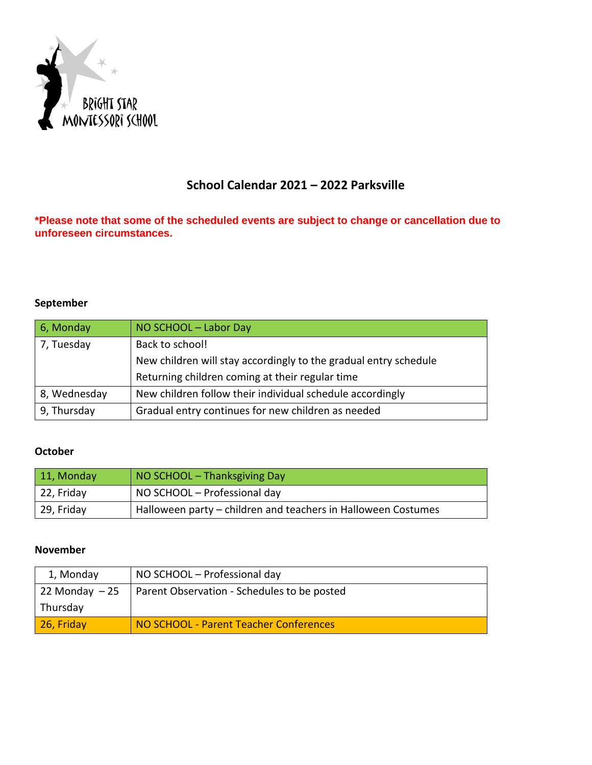

# **School Calendar 2021 – 2022 Parksville**

**\*Please note that some of the scheduled events are subject to change or cancellation due to unforeseen circumstances.**

#### **September**

| 6, Monday    | NO SCHOOL - Labor Day                                            |
|--------------|------------------------------------------------------------------|
| 7, Tuesday   | Back to school!                                                  |
|              | New children will stay accordingly to the gradual entry schedule |
|              | Returning children coming at their regular time                  |
| 8, Wednesday | New children follow their individual schedule accordingly        |
| 9, Thursday  | Gradual entry continues for new children as needed               |

#### **October**

| $\vert$ 11, Monday | NO SCHOOL - Thanksgiving Day                                  |
|--------------------|---------------------------------------------------------------|
| 22, Friday         | NO SCHOOL - Professional day                                  |
| 29, Friday         | Halloween party – children and teachers in Halloween Costumes |

#### **November**

| 1, Monday       | NO SCHOOL - Professional day                |
|-----------------|---------------------------------------------|
| 22 Monday $-25$ | Parent Observation - Schedules to be posted |
| Thursday        |                                             |
| 26, Friday      | NO SCHOOL - Parent Teacher Conferences      |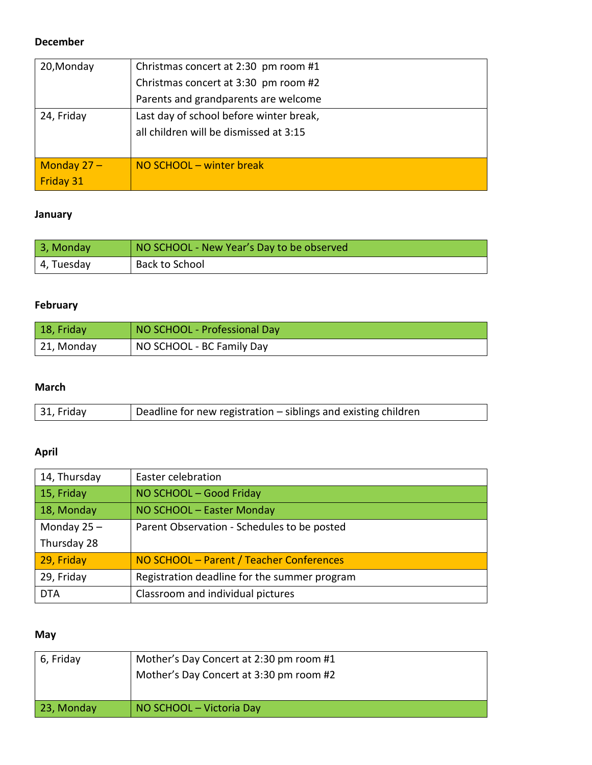#### **December**

| 20, Monday       | Christmas concert at 2:30 pm room #1    |
|------------------|-----------------------------------------|
|                  | Christmas concert at 3:30 pm room #2    |
|                  | Parents and grandparents are welcome    |
| 24, Friday       | Last day of school before winter break, |
|                  | all children will be dismissed at 3:15  |
|                  |                                         |
| Monday $27 -$    | NO SCHOOL - winter break                |
| <b>Friday 31</b> |                                         |

# **January**

| 3, Monday  | NO SCHOOL - New Year's Day to be observed |
|------------|-------------------------------------------|
| 4, Tuesday | Back to School                            |

# **February**

| 18, Friday | NO SCHOOL - Professional Day |
|------------|------------------------------|
| 21, Monday | NO SCHOOL - BC Family Day    |

### **March**

| 31, Friday | Deadline for new registration – siblings and existing children |
|------------|----------------------------------------------------------------|

# **April**

| 14, Thursday  | Easter celebration                           |
|---------------|----------------------------------------------|
| 15, Friday    | NO SCHOOL - Good Friday                      |
| 18, Monday    | NO SCHOOL - Easter Monday                    |
| Monday $25 -$ | Parent Observation - Schedules to be posted  |
| Thursday 28   |                                              |
| 29, Friday    | NO SCHOOL - Parent / Teacher Conferences     |
| 29, Friday    | Registration deadline for the summer program |
| <b>DTA</b>    | Classroom and individual pictures            |

# **May**

| 6, Friday  | Mother's Day Concert at 2:30 pm room #1<br>Mother's Day Concert at 3:30 pm room #2 |
|------------|------------------------------------------------------------------------------------|
| 23, Monday | NO SCHOOL - Victoria Day                                                           |